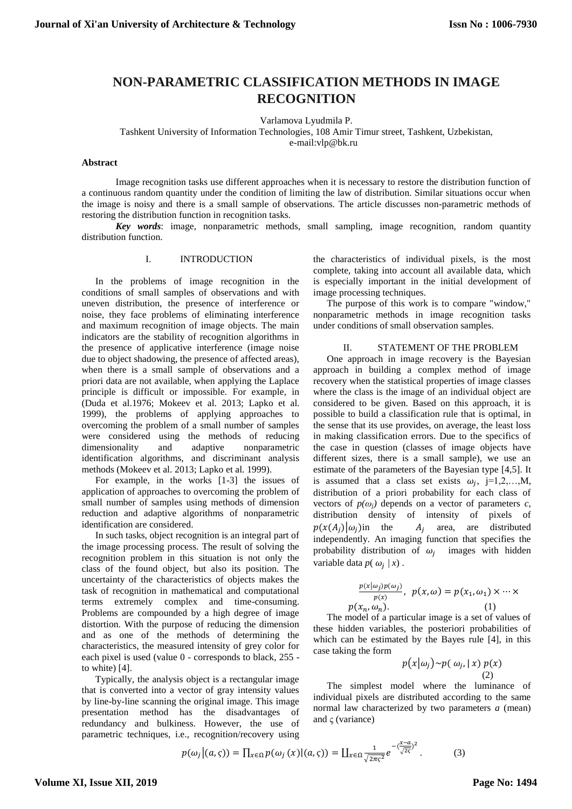# **NON-PARAMETRIC CLASSIFICATION METHODS IN IMAGE RECOGNITION**

Varlamova Lyudmila P.

Tashkent University of Information Technologies, 108 Amir Timur street, Tashkent, Uzbekistan, e-mail:vlp@bk.ru

## **Abstract**

Image recognition tasks use different approaches when it is necessary to restore the distribution function of a continuous random quantity under the condition of limiting the law of distribution. Similar situations occur when the image is noisy and there is a small sample of observations. The article discusses non-parametric methods of restoring the distribution function in recognition tasks.

*Key words*: image, nonparametric methods, small sampling, image recognition, random quantity distribution function.

## I. INTRODUCTION

In the problems of image recognition in the conditions of small samples of observations and with uneven distribution, the presence of interference or noise, they face problems of eliminating interference and maximum recognition of image objects. The main indicators are the stability of recognition algorithms in the presence of applicative interference (image noise due to object shadowing, the presence of affected areas), when there is a small sample of observations and a priori data are not available, when applying the Laplace principle is difficult or impossible. For example, in (Duda et al.1976; Mokeev et al. 2013; Lapko et al. 1999), the problems of applying approaches to overcoming the problem of a small number of samples were considered using the methods of reducing dimensionality and adaptive nonparametric identification algorithms, and discriminant analysis methods (Mokeev et al. 2013; Lapko et al. 1999).

For example, in the works [1-3] the issues of application of approaches to overcoming the problem of small number of samples using methods of dimension reduction and adaptive algorithms of nonparametric identification are considered.

In such tasks, object recognition is an integral part of the image processing process. The result of solving the recognition problem in this situation is not only the class of the found object, but also its position. The uncertainty of the characteristics of objects makes the task of recognition in mathematical and computational terms extremely complex and time-consuming. Problems are compounded by a high degree of image distortion. With the purpose of reducing the dimension and as one of the methods of determining the characteristics, the measured intensity of grey color for each pixel is used (value 0 - corresponds to black, 255 to white) [4].

Typically, the analysis object is a rectangular image that is converted into a vector of gray intensity values by line-by-line scanning the original image. This image presentation method has the disadvantages of redundancy and bulkiness. However, the use of parametric techniques, i.e., recognition/recovery using the characteristics of individual pixels, is the most complete, taking into account all available data, which is especially important in the initial development of image processing techniques.

The purpose of this work is to compare "window," nonparametric methods in image recognition tasks under conditions of small observation samples.

#### II. STATEMENT OF THE PROBLEM

One approach in image recovery is the Bayesian approach in building a complex method of image recovery when the statistical properties of image classes where the class is the image of an individual object are considered to be given. Based on this approach, it is possible to build a classification rule that is optimal, in the sense that its use provides, on average, the least loss in making classification errors. Due to the specifics of the case in question (classes of image objects have different sizes, there is a small sample), we use an estimate of the parameters of the Bayesian type [4,5]. It is assumed that a class set exists  $\omega_j$ , j=1,2,...,M, distribution of a priori probability for each class of vectors of  $p(\omega_i)$  depends on a vector of parameters *c*, distribution density of intensity of pixels of  $p(x(A_i)|\omega_i)$ in the  $A_i$  area, are distributed independently. An imaging function that specifies the probability distribution of  $\omega_j$  images with hidden variable data  $p(\omega_j | x)$ .

$$
\frac{p(x|\omega_j)p(\omega_j)}{p(x)}, \ \ p(x,\omega) = p(x_1,\omega_1) \times \cdots \times p(x_n,\omega_n). \tag{1}
$$

The model of a particular image is a set of values of these hidden variables, the posteriori probabilities of which can be estimated by the Bayes rule [4], in this case taking the form

$$
p(x|\omega_j) \sim p(\omega_j, |x) p(x)
$$
  
(2)

The simplest model where the luminance of individual pixels are distributed according to the same normal law characterized by two parameters *a* (mean) and  $\varsigma$  (variance)

$$
p(\omega_j|(a,\varsigma)) = \prod_{x \in \Omega} p(\omega_j(x)|(a,\varsigma)) = \prod_{x \in \Omega} \frac{1}{\sqrt{2\pi\varsigma^2}} e^{-\left(\frac{x-a}{\sqrt{2}\varsigma}\right)^2}.
$$
 (3)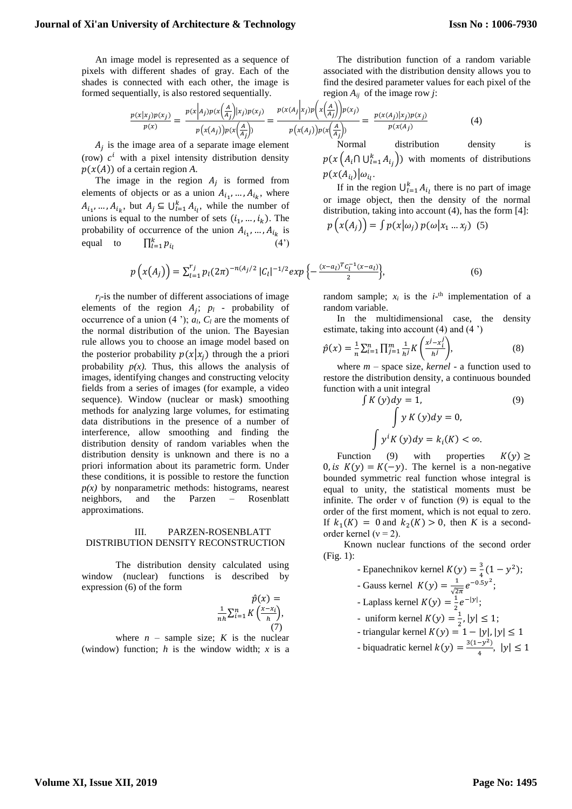#### **Journal of Xi'an University of Architecture & Technology**

An image model is represented as a sequence of pixels with different shades of gray. Each of the shades is connected with each other, the image is formed sequentially, is also restored sequentially.

$$
\frac{p(x|x_j)p(x_j)}{p(x)} = \frac{p(x\Big|A_j)p(x\Big(\frac{A}{A_j}\Big)|x_j)p(x_j)}{p(x(A_j))p(x\Big(\frac{A}{A_j}\Big))} = \frac{p(x(A_j|x_j)p(x_j))}{p(x(A_j))p(x\Big(\frac{A}{A_j}\Big))} = \frac{p(x(A_j)|x_j)p(x_j)}{p(x(A_j))}
$$
(4)

 $A_j$  is the image area of a separate image element (row)  $c^i$  with a pixel intensity distribution density  $p(x(A))$  of a certain region A.

The image in the region  $A_j$  is formed from elements of objects or as a union  $A_{i_1}, \ldots, A_{i_k}$ , where  $A_{i_1},..., A_{i_k}$ , but  $A_j \subseteq \bigcup_{l=1}^k A_{i_l}$ , while the number of unions is equal to the number of sets  $(i_1, ..., i_k)$ . The probability of occurrence of the union  $A_{i_1}, \dots, A_{i_k}$  is equal to  $\frac{k}{l=1}$  $(4')$ 

The distribution function of a random variable associated with the distribution density allows you to find the desired parameter values for each pixel of the region  $A_{ij}$  of the image row *j*:

$$
\frac{x_j p(x_j)}{p(x)} = \frac{p(x|A_j)p(x(\frac{A}{A_j})|x_j)p(x_j)}{p(x(A_j))p(x(\frac{A}{A_j}))} = \frac{p(x(A_j|x_j)p(x(\frac{A}{A_j}))p(x_j)}{p(x(A_j))p(x(\frac{A}{A_j}))} = \frac{p(x(A_j)|x_j)p(x_j)}{p(x(A_j))}
$$
(4)

Normal distribution density is  $p(x\left( A_{i}\cap\bigcup_{l=1}^{k} A_{i_{j}}\right))$  with moments of distributions  $p(x(A_{i_l})|\omega_{i_l}.$ 

If in the region  $\bigcup_{l=1}^{k} A_{i_l}$  there is no part of image or image object, then the density of the normal distribution, taking into account (4), has the form [4]:  $(x(A_i)) = \int p(x|\omega_i) p(\omega | x_i - x_i)$  (5)

$$
p(x(A_j)) = \int p(x|\omega_j) p(\omega|x_1 \dots x_j) \quad (5)
$$

$$
p\left(x(A_j)\right) = \sum_{l=1}^{r_j} p_l(2\pi)^{-n(A_j/2)} |C_l|^{-1/2} exp\left\{-\frac{(x-a_l)^T C_l^{-1}(x-a_l)}{2}\right\},\tag{6}
$$

 $r_i$ -is the number of different associations of image elements of the region  $A_j$ ;  $p_l$  - probability of occurrence of a union  $(4 \cdot)$ ;  $a_l$ ,  $C_l$  are the moments of the normal distribution of the union. The Bayesian rule allows you to choose an image model based on the posterior probability  $p(x|x_i)$  through the a priori probability  $p(x)$ . Thus, this allows the analysis of images, identifying changes and constructing velocity fields from a series of images (for example, a video sequence). Window (nuclear or mask) smoothing methods for analyzing large volumes, for estimating data distributions in the presence of a number of interference, allow smoothing and finding the distribution density of random variables when the distribution density is unknown and there is no a priori information about its parametric form. Under these conditions, it is possible to restore the function  $p(x)$  by nonparametric methods: histograms, nearest neighbors, and the Parzen – Rosenblatt approximations.

#### III. PARZEN-ROSENBLATT DISTRIBUTION DENSITY RECONSTRUCTION

The distribution density calculated using window (nuclear) functions is described by expression (6) of the form

$$
\hat{p}(x) = \frac{1}{nh} \sum_{i=1}^{n} K\left(\frac{x - x_i}{h}\right),\tag{7}
$$

where  $n$  – sample size;  $K$  is the nuclear (window) function;  $h$  is the window width;  $x$  is a

random sample;  $x_i$  is the  $i$ <sup>-th</sup> implementation of a random variable.

In the multidimensional case, the density estimate, taking into account (4) and (4 ')

$$
\hat{p}(x) = \frac{1}{n} \sum_{i=1}^{n} \prod_{j=1}^{m} \frac{1}{h^j} K\left(\frac{x^j - x_i^j}{h^j}\right),\tag{8}
$$

where *m* – space size, *kernel* - a function used to restore the distribution density, a continuous bounded function with a unit integral

$$
\int K(y)dy = 1,
$$
\n
$$
\int y K(y)dy = 0,
$$
\n
$$
\int y^{i} K(y)dy = k_{i}(K) < \infty.
$$
\n(9)

Function (9) with properties  $K(y) \ge$ 0, is  $K(y) = K(-y)$ . The kernel is a non-negative bounded symmetric real function whose integral is equal to unity, the statistical moments must be infinite. The order  $v$  of function  $(9)$  is equal to the order of the first moment, which is not equal to zero. If  $k_1(K) = 0$  and  $k_2(K) > 0$ , then *K* is a secondorder kernel ( $v = 2$ ).

Known nuclear functions of the second order (Fig. 1):

- Epanechnikov kernel  $K(y) = \frac{3}{4}$  $\frac{3}{4}(1-y^2);$
- Gauss kernel  $K(y) = \frac{1}{x^2}$  $\frac{1}{\sqrt{2\pi}}e^{-0.5y^2}$ ;
- Laplass kernel  $K(y) = \frac{1}{2}$  $\frac{1}{2}e^{-|y|}$ ;
- uniform kernel  $K(y) = \frac{1}{x}$  $\frac{1}{2}$ ,  $|y| \leq 1$ ;
- triangular kernel  $K(y) = 1 |y|, |y| \le 1$
- biquadratic kernel  $k(y) = \frac{3(1-y^2)}{y^2}$  $\frac{-y}{4}$ ,  $|y| \leq 1$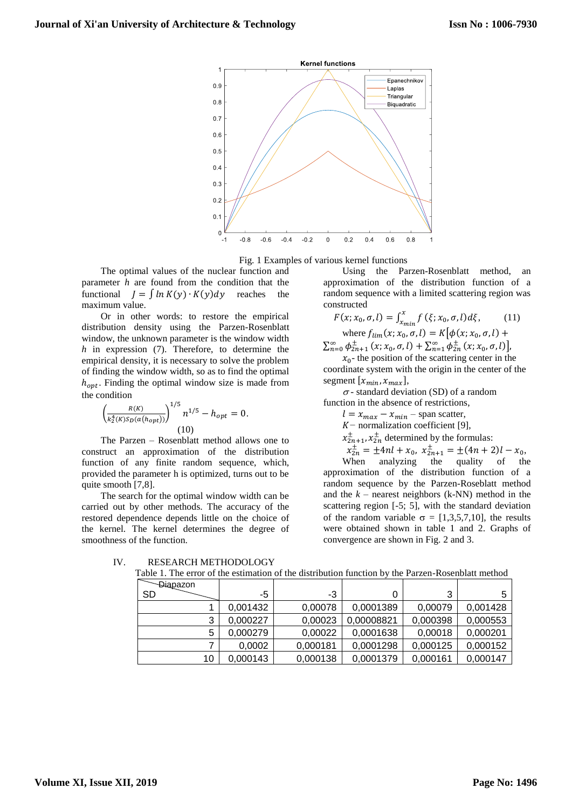

Fig. 1 Examples of various kernel functions

The optimal values of the nuclear function and parameter *h* are found from the condition that the functional  $J = \int ln K(y) \cdot K(y) dy$  reaches the maximum value.

Or in other words: to restore the empirical distribution density using the Parzen-Rosenblatt window, the unknown parameter is the window width *h* in expression (7). Therefore, to determine the empirical density, it is necessary to solve the problem of finding the window width, so as to find the optimal  $h_{opt}$ . Finding the optimal window size is made from the condition

$$
\left(\frac{R(K)}{k_2^4(K)S_D(a(h_{opt}))}\right)^{1/5} n^{1/5} - h_{opt} = 0.
$$
\n(10)

The Parzen – Rosenblatt method allows one to construct an approximation of the distribution function of any finite random sequence, which, provided the parameter h is optimized, turns out to be quite smooth [7,8].

The search for the optimal window width can be carried out by other methods. The accuracy of the restored dependence depends little on the choice of the kernel. The kernel determines the degree of smoothness of the function.

Using the Parzen-Rosenblatt method, an approximation of the distribution function of a random sequence with a limited scattering region was constructed

$$
F(x; x_0, \sigma, l) = \int_{x_{min}}^{x} f(\xi; x_0, \sigma, l) d\xi,
$$
  
where  $f_{lim}(x; x_0, \sigma, l) = K[\phi(x; x_0, \sigma, l) +$ 

 $\sum_{n=0}^{\infty} \phi_{2n+1}^{\pm} (x; x_0, \sigma, l) + \sum_{n=1}^{\infty} \phi_{2n}^{\pm} (x; x_0, \sigma, l)$ 

 $x_0$ - the position of the scattering center in the coordinate system with the origin in the center of the segment  $[x_{min}, x_{max}]$ ,

 $\sigma$ - standard deviation (SD) of a random function in the absence of restrictions,

- $l = x_{max} x_{min}$  span scatter,
- *K* − normalization coefficient [9],
- $x_{2n+1}^{\pm}$ ,  $x_{2n}^{\pm}$  determined by the formulas:
- $x_{2n}^{\pm} = \pm 4nl + x_0, \ x_{2n+1}^{\pm} = \pm (4n+2)l x_0,$

When analyzing the quality of the approximation of the distribution function of a random sequence by the Parzen-Roseblatt method and the  $k$  – nearest neighbors (k-NN) method in the scattering region [-5; 5], with the standard deviation of the random variable  $\sigma = [1,3,5,7,10]$ , the results were obtained shown in table 1 and 2. Graphs of convergence are shown in Fig. 2 and 3.

| -Diapazon |          |          |            |          |          |
|-----------|----------|----------|------------|----------|----------|
| <b>SD</b> | -5       | -3       |            | 3        | 5        |
|           | 0,001432 | 0,00078  | 0,0001389  | 0,00079  | 0,001428 |
| 3         | 0,000227 | 0,00023  | 0,00008821 | 0,000398 | 0,000553 |
| 5         | 0,000279 | 0,00022  | 0,0001638  | 0,00018  | 0,000201 |
|           | 0,0002   | 0,000181 | 0,0001298  | 0,000125 | 0,000152 |
| 10        | 0.000143 | 0,000138 | 0,0001379  | 0,000161 | 0,000147 |

IV. RESEARCH METHODOLOGY Table 1. The error of the estimation of the distribution function by the Parzen-Rosenblatt method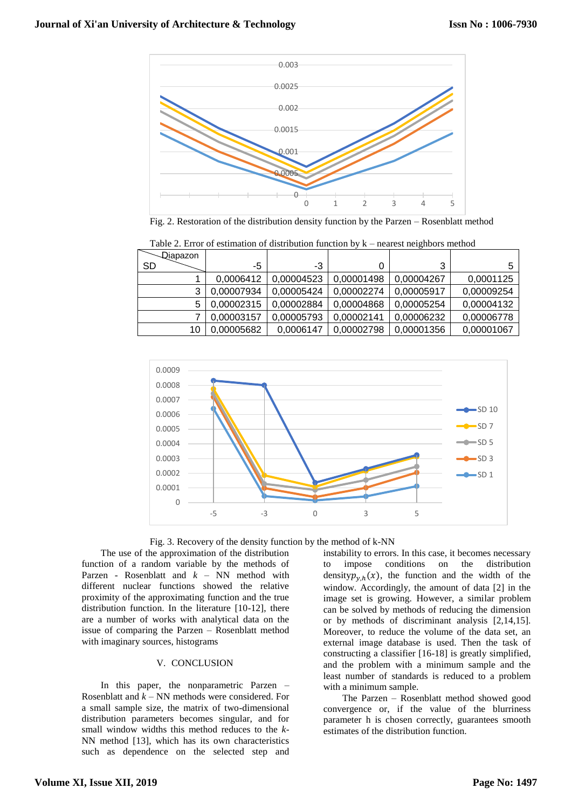

Fig. 2. Restoration of the distribution density function by the Parzen – Rosenblatt method

| -Diapazon |            |            |            |            |            |
|-----------|------------|------------|------------|------------|------------|
| <b>SD</b> | -5         | -3         | 0          | 3          |            |
|           | 0.0006412  | 0.00004523 | 0,00001498 | 0.00004267 | 0,0001125  |
|           | 0.00007934 | 0.00005424 | 0.00002274 | 0.00005917 | 0,00009254 |
|           | 0,00002315 | 0.00002884 | 0.00004868 | 0,00005254 | 0,00004132 |
|           | 0,00003157 | 0,00005793 | 0,00002141 | 0,00006232 | 0,00006778 |
| 10        | 0,00005682 | 0.0006147  | 0.00002798 | 0.00001356 | 0,00001067 |

Table 2. Error of estimation of distribution function by k – nearest neighbors method





The use of the approximation of the distribution function of a random variable by the methods of Parzen - Rosenblatt and *k* – NN method with different nuclear functions showed the relative proximity of the approximating function and the true distribution function. In the literature [10-12], there are a number of works with analytical data on the issue of comparing the Parzen – Rosenblatt method with imaginary sources, histograms

#### V. CONCLUSION

In this paper, the nonparametric Parzen – Rosenblatt and *k* – NN methods were considered. For a small sample size, the matrix of two-dimensional distribution parameters becomes singular, and for small window widths this method reduces to the *k*-NN method [13], which has its own characteristics such as dependence on the selected step and

instability to errors. In this case, it becomes necessary to impose conditions on the distribution density $p_{y,h}(x)$ , the function and the width of the window. Accordingly, the amount of data [2] in the image set is growing. However, a similar problem can be solved by methods of reducing the dimension or by methods of discriminant analysis [2,14,15]. Moreover, to reduce the volume of the data set, an external image database is used. Then the task of constructing a classifier [16-18] is greatly simplified, and the problem with a minimum sample and the least number of standards is reduced to a problem with a minimum sample.

The Parzen – Rosenblatt method showed good convergence or, if the value of the blurriness parameter h is chosen correctly, guarantees smooth estimates of the distribution function.